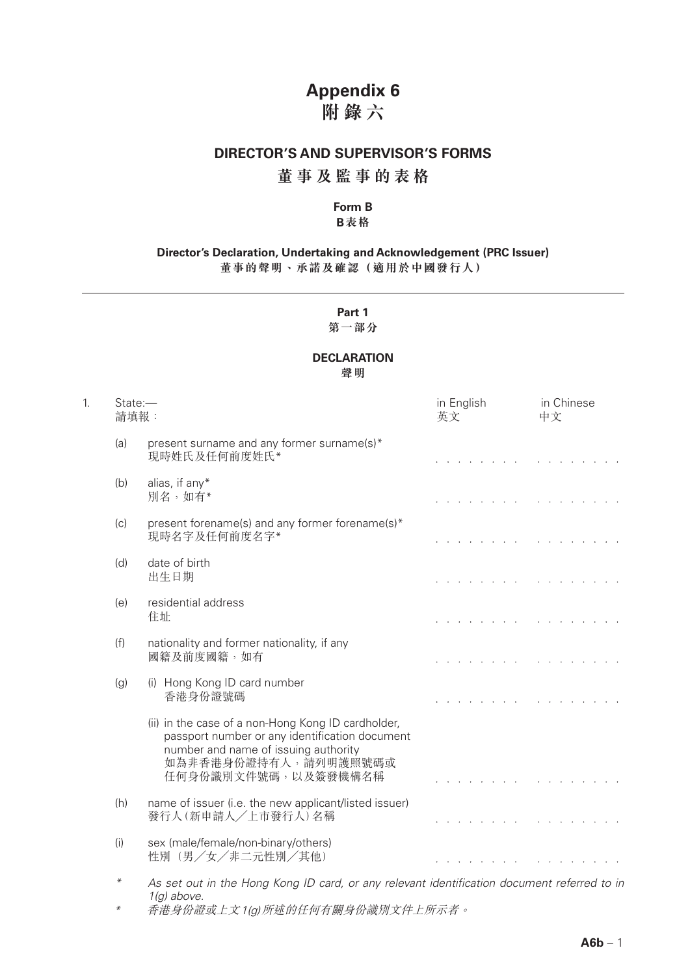# **Appendix 6 附錄六**

### **DIRECTOR'S AND SUPERVISOR'S FORMS**

## **董事及監事的表格**

# **Form B**

### **B表格**

#### **Director's Declaration, Undertaking and Acknowledgement (PRC Issuer) 董事的聲明、承諾及確認(適用於中國發行人)**

# **Part 1**

### **第一部分**

# **DECLARATION**

**聲明**

| 1. | State:-<br>請填報: |                                                                                                                                                                                             | in English<br>英文                                          | in Chinese<br>中文                                                                                      |  |
|----|-----------------|---------------------------------------------------------------------------------------------------------------------------------------------------------------------------------------------|-----------------------------------------------------------|-------------------------------------------------------------------------------------------------------|--|
|    | (a)             | present surname and any former surname(s)*<br>現時姓氏及任何前度姓氏*                                                                                                                                  |                                                           |                                                                                                       |  |
|    | (b)             | alias, if any*<br>別名,如有*                                                                                                                                                                    | a construction of the construction of the construction of |                                                                                                       |  |
|    | (c)             | present forename(s) and any former forename(s)*<br>現時名字及任何前度名字*                                                                                                                             | and the contract of the contract of the contract of       |                                                                                                       |  |
|    | (d)             | date of birth<br>出生日期                                                                                                                                                                       |                                                           | the contract of the contract of the contract of the contract of                                       |  |
|    | (e)             | residential address<br>住址                                                                                                                                                                   |                                                           | the contract of the contract of the contract of the                                                   |  |
|    | (f)             | nationality and former nationality, if any<br>國籍及前度國籍,如有                                                                                                                                    |                                                           | <u>.</u>                                                                                              |  |
|    | (g)             | (i) Hong Kong ID card number<br>香港身份證號碼                                                                                                                                                     |                                                           |                                                                                                       |  |
|    |                 | (ii) in the case of a non-Hong Kong ID cardholder,<br>passport number or any identification document<br>number and name of issuing authority<br>如為非香港身份證持有人,請列明護照號碼或<br>任何身份識別文件號碼,以及簽發機構名稱 | and a straightful contract and a straight                 |                                                                                                       |  |
|    | (h)             | name of issuer (i.e. the new applicant/listed issuer)<br>發行人(新申請人/上市發行人)名稱                                                                                                                  |                                                           | <u>.</u>                                                                                              |  |
|    | (i)             | sex (male/female/non-binary/others)<br>性別(男/女/非二元性別/其他)                                                                                                                                     |                                                           | $\mathcal{L}^{\mathcal{A}}$ , where $\mathcal{L}^{\mathcal{A}}$ , we have $\mathcal{L}^{\mathcal{A}}$ |  |
|    | $\ast$          | As set out in the Hong Kong ID card, or any relevant identification document referred to in<br>$1(g)$ above.                                                                                |                                                           |                                                                                                       |  |

\* 香港身份證或上文1(g)所述的任何有關身份識別文件上所示者。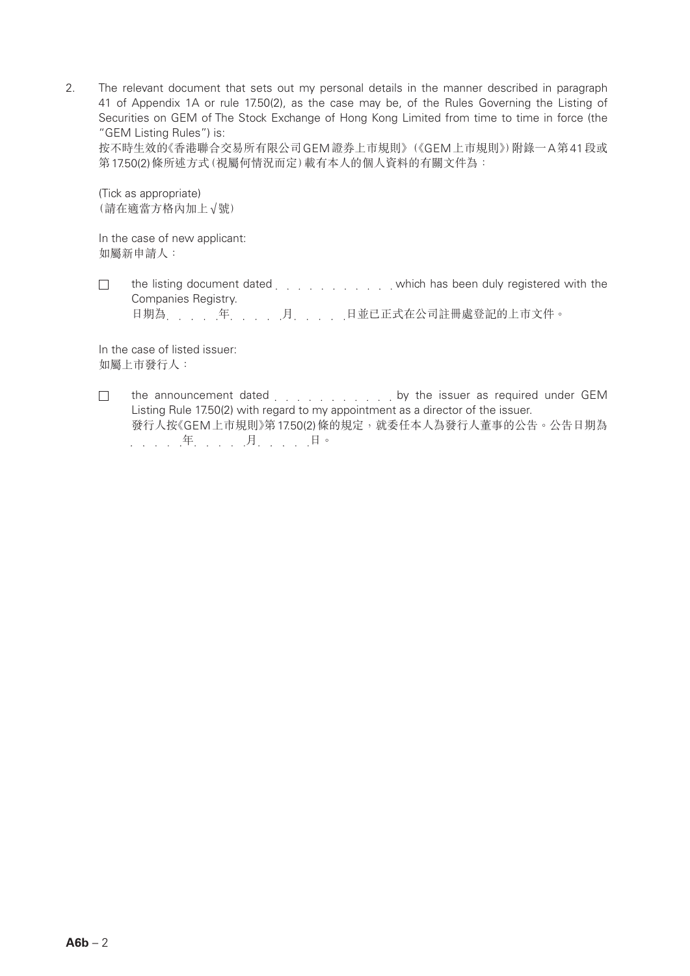2. The relevant document that sets out my personal details in the manner described in paragraph 41 of Appendix 1A or rule 17.50(2), as the case may be, of the Rules Governing the Listing of Securities on GEM of The Stock Exchange of Hong Kong Limited from time to time in force (the "GEM Listing Rules") is:

按不時生效的《香港聯合交易所有限公司GEM證券上市規則》(《GEM上市規則》)附錄一A第41段或 第17.50(2)條所述方式(視屬何情況而定)載有本人的個人資料的有關文件為:

(Tick as appropriate) (請在適當方格內加上√號)

In the case of new applicant: 如屬新申請人:

 $\Box$ the listing document dated entity and which has been duly registered with the Companies Registry.

日期為 年 年 月 月 月 日並已正式在公司註冊處登記的上市文件。

In the case of listed issuer: 如屬上市發行人:

the announcement dated entity and the issuer as required under GEM  $\Box$ Listing Rule 17.50(2) with regard to my appointment as a director of the issuer. 發行人按《GEM上市規則》第17.50(2)條的規定,就委任本人為發行人董事的公告。公告日期為 . . . . . . . . . . 月. . . . . . 日。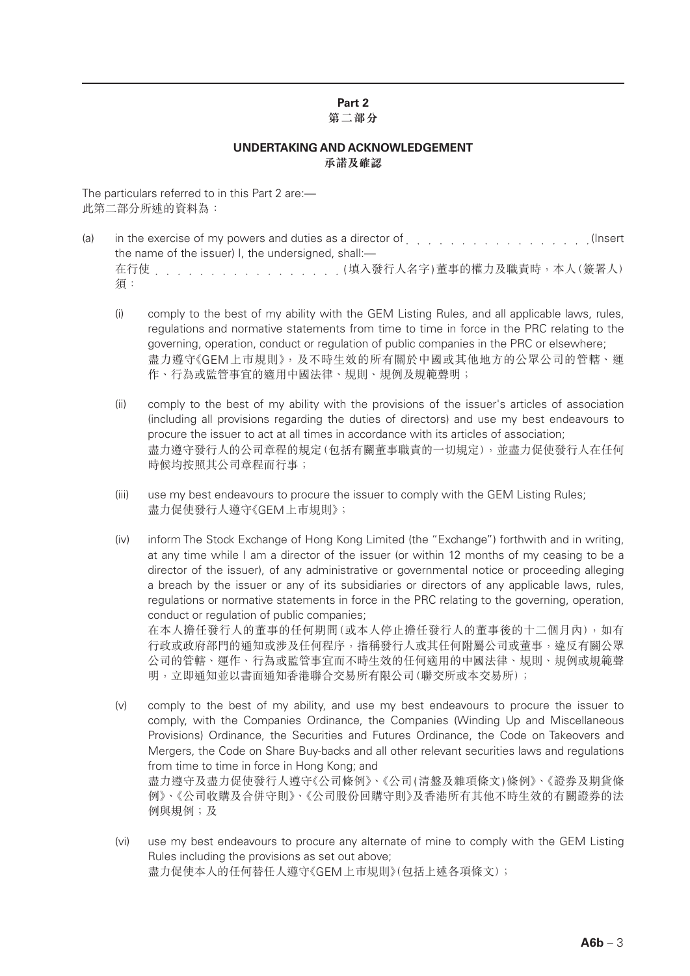# **Part 2**

#### **第二部分**

### **UNDERTAKING AND ACKNOWLEDGEMENT 承諾及確認**

The particulars referred to in this Part 2 are:— 此第二部分所述的資料為:

- (a) in the exercise of my powers and duties as a director of entity and the exercise of my powers and duties as a director of entity and all and the exercise of my powers and duties as a director of entity and all and the the name of the issuer) I, the undersigned, shall:-在行使 (填入發行人名字)董事的權力及職責時,本人(簽署人) 須:
	- (i) comply to the best of my ability with the GEM Listing Rules, and all applicable laws, rules, regulations and normative statements from time to time in force in the PRC relating to the governing, operation, conduct or regulation of public companies in the PRC or elsewhere; 盡力遵守《GEM上巿規則》,及不時生效的所有關於中國或其他地方的公眾公司的管轄、運 作、行為或監管事宜的適用中國法律、規則、規例及規範聲明;
	- (ii) comply to the best of my ability with the provisions of the issuer's articles of association (including all provisions regarding the duties of directors) and use my best endeavours to procure the issuer to act at all times in accordance with its articles of association; 盡力遵守發行人的公司章程的規定(包括有關董事職責的一切規定),並盡力促使發行人在任何 時候均按照其公司章程而行事;
	- (iii) use my best endeavours to procure the issuer to comply with the GEM Listing Rules; 盡力促使發行人遵守《GEM上巿規則》;
	- (iv) inform The Stock Exchange of Hong Kong Limited (the "Exchange") forthwith and in writing, at any time while I am a director of the issuer (or within 12 months of my ceasing to be a director of the issuer), of any administrative or governmental notice or proceeding alleging a breach by the issuer or any of its subsidiaries or directors of any applicable laws, rules, regulations or normative statements in force in the PRC relating to the governing, operation, conduct or regulation of public companies;

在本人擔任發行人的董事的任何期間(或本人停止擔任發行人的董事後的十二個月內),如有 行政或政府部門的通知或涉及任何程序,指稱發行人或其任何附屬公司或董事,違反有關公眾 公司的管轄、運作、行為或監管事宜而不時生效的任何適用的中國法律、規則、規例或規範聲 明,立即通知並以書面通知香港聯合交易所有限公司(聯交所或本交易所);

- (v) comply to the best of my ability, and use my best endeavours to procure the issuer to comply, with the Companies Ordinance, the Companies (Winding Up and Miscellaneous Provisions) Ordinance, the Securities and Futures Ordinance, the Code on Takeovers and Mergers, the Code on Share Buy-backs and all other relevant securities laws and regulations from time to time in force in Hong Kong; and 盡力遵守及盡力促使發行人遵守《公司條例》、《公司(清盤及雜項條文)條例》、《證券及期貨條 例》、《公司收購及合併守則》、《公司股份回購守則》及香港所有其他不時生效的有關證券的法 例與規例;及
- (vi) use my best endeavours to procure any alternate of mine to comply with the GEM Listing Rules including the provisions as set out above; 盡力促使本人的任何替任人遵守《GEM上巿規則》(包括上述各項條文);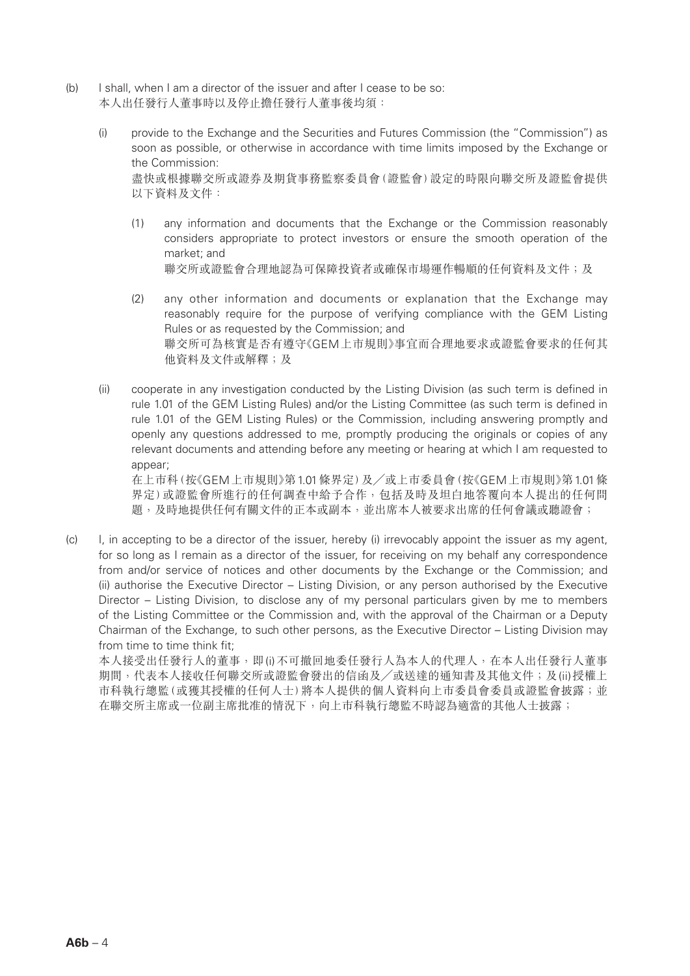- (b) I shall, when I am a director of the issuer and after I cease to be so: 本人出任發行人董事時以及停止擔任發行人董事後均須:
	- (i) provide to the Exchange and the Securities and Futures Commission (the "Commission") as soon as possible, or otherwise in accordance with time limits imposed by the Exchange or the Commission: 盡快或根據聯交所或證券及期貨事務監察委員會(證監會)設定的時限向聯交所及證監會提供 以下資料及文件:
		- (1) any information and documents that the Exchange or the Commission reasonably considers appropriate to protect investors or ensure the smooth operation of the market; and 聯交所或證監會合理地認為可保障投資者或確保市場運作暢順的任何資料及文件;及
		- (2) any other information and documents or explanation that the Exchange may reasonably require for the purpose of verifying compliance with the GEM Listing Rules or as requested by the Commission; and 聯交所可為核實是否有遵守《GEM上市規則》事宜而合理地要求或證監會要求的任何其 他資料及文件或解釋;及
	- (ii) cooperate in any investigation conducted by the Listing Division (as such term is defined in rule 1.01 of the GEM Listing Rules) and/or the Listing Committee (as such term is defined in rule 1.01 of the GEM Listing Rules) or the Commission, including answering promptly and openly any questions addressed to me, promptly producing the originals or copies of any relevant documents and attending before any meeting or hearing at which I am requested to appear;

在上巿科(按《GEM上市規則》第1.01條界定)及╱或上巿委員會(按《GEM上市規則》第1.01條 界定)或證監會所進行的任何調查中給予合作,包括及時及坦白地答覆向本人提出的任何問 題,及時地提供任何有關文件的正本或副本,並出席本人被要求出席的任何會議或聽證會;

(c) I, in accepting to be a director of the issuer, hereby (i) irrevocably appoint the issuer as my agent, for so long as I remain as a director of the issuer, for receiving on my behalf any correspondence from and/or service of notices and other documents by the Exchange or the Commission; and (ii) authorise the Executive Director – Listing Division, or any person authorised by the Executive Director – Listing Division, to disclose any of my personal particulars given by me to members of the Listing Committee or the Commission and, with the approval of the Chairman or a Deputy Chairman of the Exchange, to such other persons, as the Executive Director – Listing Division may from time to time think fit;

本人接受出任發行人的董事,即(i)不可撤回地委任發行人為本人的代理人,在本人出任發行人董事 期間,代表本人接收任何聯交所或證監會發出的信函及/或送達的通知書及其他文件;及(ii)授權上 市科執行總監(或獲其授權的任何人士)將本人提供的個人資料向上市委員會委員或證監會披露;並 在聯交所主席或一位副主席批准的情況下,向上巿科執行總監不時認為適當的其他人士披露;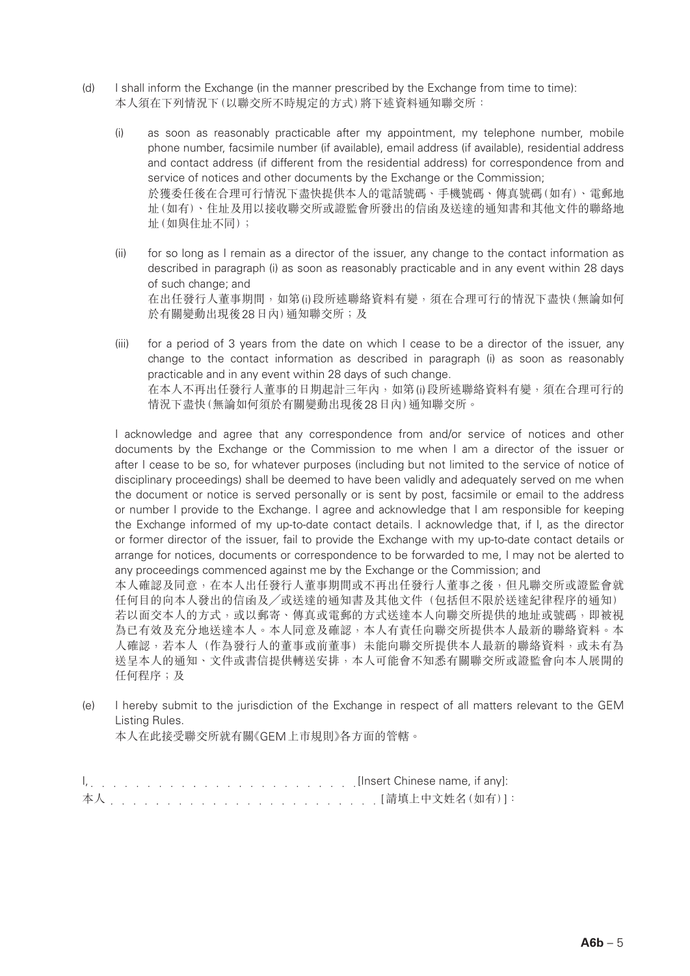- (d) I shall inform the Exchange (in the manner prescribed by the Exchange from time to time): 本人須在下列情況下(以聯交所不時規定的方式)將下述資料通知聯交所:
	- (i) as soon as reasonably practicable after my appointment, my telephone number, mobile phone number, facsimile number (if available), email address (if available), residential address and contact address (if different from the residential address) for correspondence from and service of notices and other documents by the Exchange or the Commission; 於獲委任後在合理可行情況下盡快提供本人的電話號碼、手機號碼、傳真號碼(如有)、電郵地 址(如有)、住址及用以接收聯交所或證監會所發出的信函及送達的通知書和其他文件的聯絡地 址(如與住址不同);
	- (ii) for so long as I remain as a director of the issuer, any change to the contact information as described in paragraph (i) as soon as reasonably practicable and in any event within 28 days of such change; and 在出任發行人董事期間,如第(i)段所述聯絡資料有變,須在合理可行的情況下盡快(無論如何 於有關變動出現後28日內)通知聯交所;及
	- (iii) for a period of 3 years from the date on which I cease to be a director of the issuer, any change to the contact information as described in paragraph (i) as soon as reasonably practicable and in any event within 28 days of such change. 在本人不再出任發行人董事的日期起計三年內,如第(i)段所述聯絡資料有變,須在合理可行的 情況下盡快(無論如何須於有關變動出現後28日內)通知聯交所。

I acknowledge and agree that any correspondence from and/or service of notices and other documents by the Exchange or the Commission to me when I am a director of the issuer or after I cease to be so, for whatever purposes (including but not limited to the service of notice of disciplinary proceedings) shall be deemed to have been validly and adequately served on me when the document or notice is served personally or is sent by post, facsimile or email to the address or number I provide to the Exchange. I agree and acknowledge that I am responsible for keeping the Exchange informed of my up-to-date contact details. I acknowledge that, if I, as the director or former director of the issuer, fail to provide the Exchange with my up-to-date contact details or arrange for notices, documents or correspondence to be forwarded to me, I may not be alerted to any proceedings commenced against me by the Exchange or the Commission; and

本人確認及同意,在本人出任發行人董事期間或不再出任發行人董事之後,但凡聯交所或證監會就 任何目的向本人發出的信函及╱或送達的通知書及其他文件(包括但不限於送達紀律程序的通知) 若以面交本人的方式,或以郵寄、傳真或電郵的方式送達本人向聯交所提供的地址或號碼,即被視 為已有效及充分地送達本人。本人同意及確認,本人有責任向聯交所提供本人最新的聯絡資料。本 人確認,若本人(作為發行人的董事或前董事)未能向聯交所提供本人最新的聯絡資料,或未有為 送呈本人的通知、文件或書信提供轉送安排,本人可能會不知悉有關聯交所或證監會向本人展開的 任何程序;及

(e) I hereby submit to the jurisdiction of the Exchange in respect of all matters relevant to the GEM Listing Rules.

本人在此接受聯交所就有關《GEM上市規則》各方面的管轄。

I, et al., and a series in a series in any series in any series in any series in any series in any series in any series in any series in any series in any series in any series in any series in any series in any series in a 本人 [請填上中文姓名(如有)]: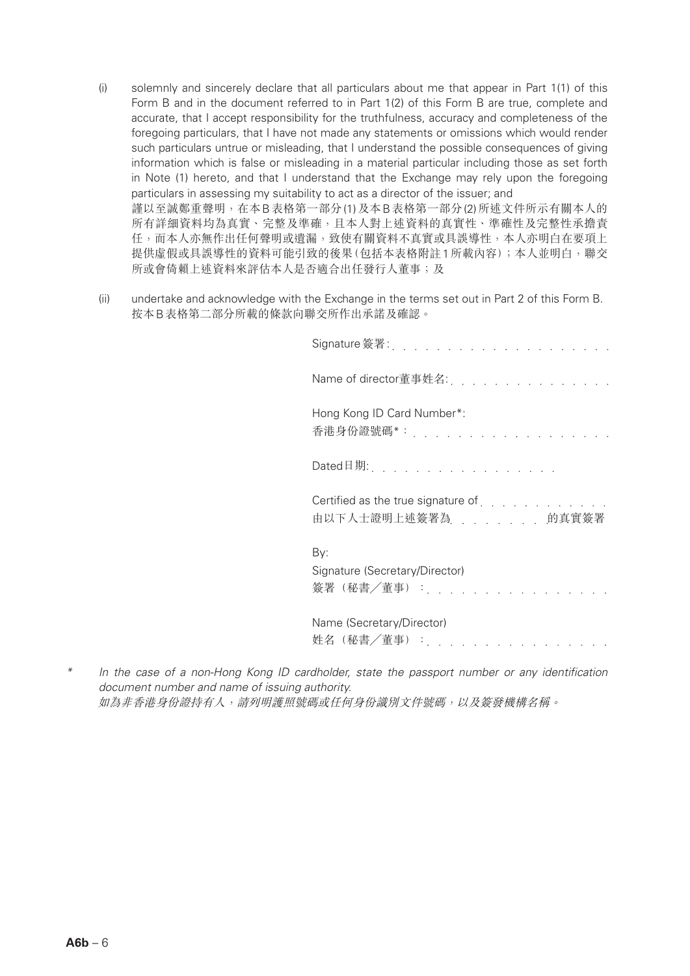- (i) solemnly and sincerely declare that all particulars about me that appear in Part 1(1) of this Form B and in the document referred to in Part 1(2) of this Form B are true, complete and accurate, that I accept responsibility for the truthfulness, accuracy and completeness of the foregoing particulars, that I have not made any statements or omissions which would render such particulars untrue or misleading, that I understand the possible consequences of giving information which is false or misleading in a material particular including those as set forth in Note (1) hereto, and that I understand that the Exchange may rely upon the foregoing particulars in assessing my suitability to act as a director of the issuer; and 謹以至誠鄭重聲明,在本B表格第一部分(1)及本B表格第一部分(2)所述文件所示有關本人的 所有詳細資料均為真實、完整及準確,且本人對上述資料的真實性、準確性及完整性承擔責 任,而本人亦無作出任何聲明或遺漏,致使有關資料不真實或具誤導性,本人亦明白在要項上 提供虛假或具誤導性的資料可能引致的後果(包括本表格附註1所載內容);本人並明白,聯交 所或會倚賴上述資料來評估本人是否適合出任發行人董事;及
- (ii) undertake and acknowledge with the Exchange in the terms set out in Part 2 of this Form B. 按本B表格第二部分所載的條款向聯交所作出承諾及確認。

| Signature 簽署 :<br>and a straight                                  |                                                                                                                                                                                                                                   |
|-------------------------------------------------------------------|-----------------------------------------------------------------------------------------------------------------------------------------------------------------------------------------------------------------------------------|
| Name of director董事姓名:                                             | a de la construcción de la construcción de la construcción de la construcción de la construcción de la construcción<br>Del construcción de la construcción de la construcción de la construcción de la construcción de la constru |
| Hong Kong ID Card Number*:<br>香港身份證號碼*: _ _                       |                                                                                                                                                                                                                                   |
| Dated日期:                                                          |                                                                                                                                                                                                                                   |
| Certified as the true signature of $\ldots$<br>由以下人士證明上述簽署為 的真實簽署 |                                                                                                                                                                                                                                   |
| By:<br>Signature (Secretary/Director)<br>簽署(秘書/董事): .             |                                                                                                                                                                                                                                   |
| Name (Secretary/Director)<br>姓名(秘書/董事)                            |                                                                                                                                                                                                                                   |

*\* In the case of a non-Hong Kong ID cardholder, state the passport number or any identification document number and name of issuing authority.* 如為非香港身份證持有人,請列明護照號碼或任何身份識別文件號碼,以及簽發機構名稱。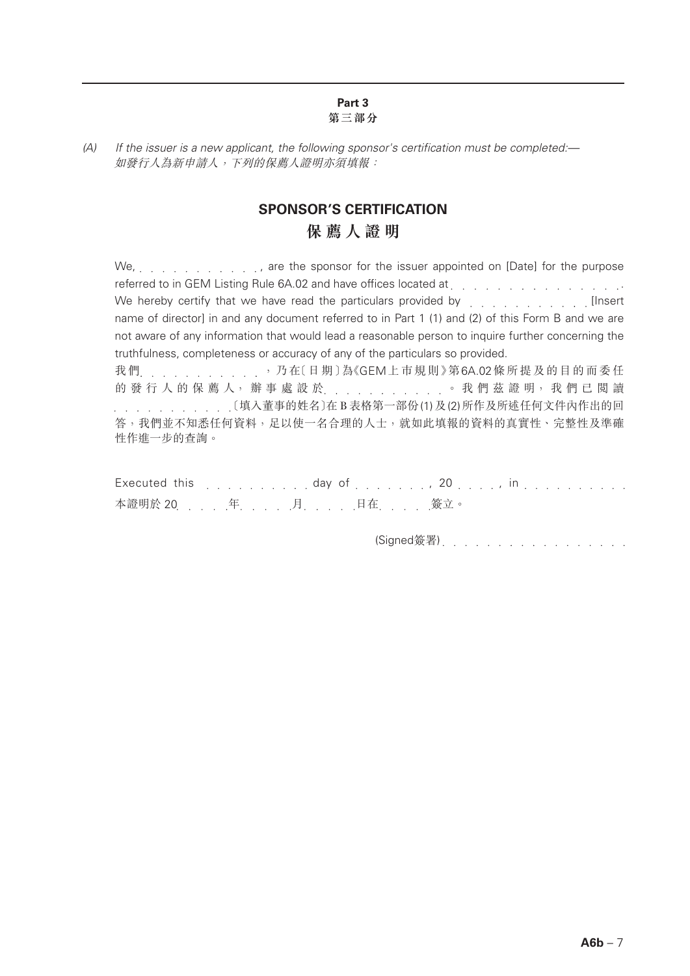#### **Part 3 第三部分**

## **SPONSOR'S CERTIFICATION 保薦人證明**

We, . . . . . . . . . . . . . . . . are the sponsor for the issuer appointed on [Date] for the purpose referred to in GEM Listing Rule 6A.02 and have offices located at enterprise and an enterprise of the contract We hereby certify that we have read the particulars provided by  $\ldots$ ,  $\ldots$ ,  $\ldots$ name of director] in and any document referred to in Part 1 (1) and (2) of this Form B and we are not aware of any information that would lead a reasonable person to inquire further concerning the truthfulness, completeness or accuracy of any of the particulars so provided. 我們 , , , , , , , , , , , , 乃在〔日期〕為《GEM上市規則》第6A.02條所提及的目的而委任 的 發 行 人 的 保 薦 人, 辦 事 處 設 於<br>.<br>.<br>.<br>.<br>.<br>.<br>.<br>.<br>. 〔填入董事的姓名〕在B表格第一部份(1)及(2)所作及所述任何文件內作出的回 答,我們並不知悉任何資料,足以使一名合理的人士,就如此填報的資料的真實性、完整性及準確

Executed this  $\ldots$ ,  $\ldots$ , day of  $\ldots$ ,  $\ldots$ ,  $20$ ,  $\ldots$ , in  $\ldots$ ,  $\ldots$ ,  $\ldots$ 本證明於 20 [ [ ] ] . . . . . 月 . . . . . 日在 . . . . . 簽立。

性作進一步的查詢。

(Signed簽署) . . . . . . . . . . . . . . . . .

*<sup>(</sup>A) If the issuer is a new applicant, the following sponsor's certification must be completed:—* 如發行人為新申請人,下列的保薦人證明亦須填報: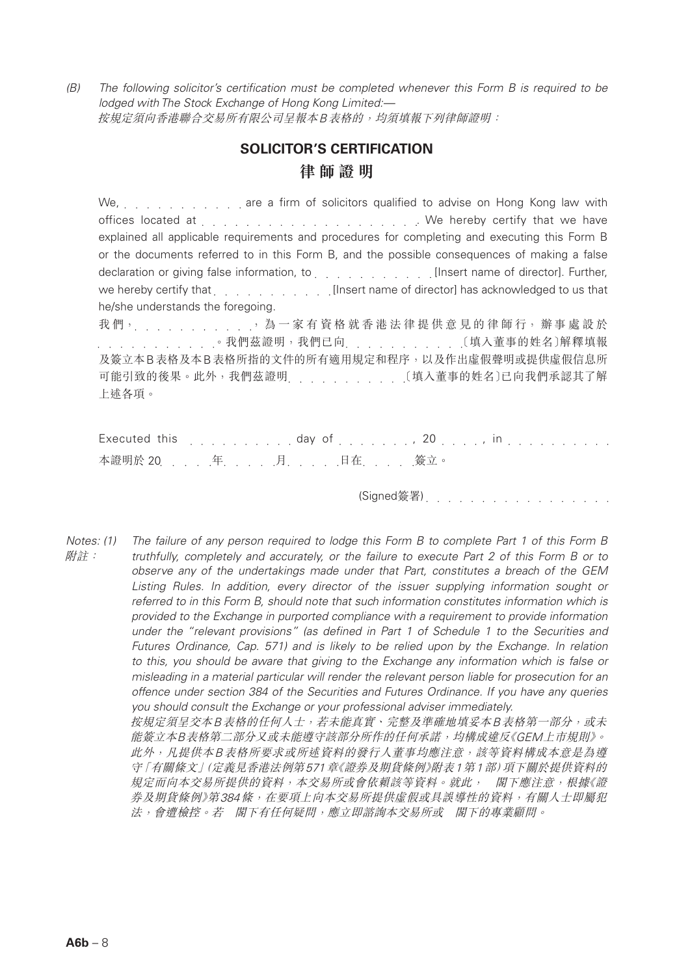*(B) The following solicitor's certification must be completed whenever this Form B is required to be lodged with The Stock Exchange of Hong Kong Limited:—* 按規定須向香港聯合交易所有限公司呈報本B表格的,均須填報下列律師證明:

## **SOLICITOR'S CERTIFICATION 律師證明**

We, wild carry with the are a firm of solicitors qualified to advise on Hong Kong law with offices located at . We hereby certify that we have explained all applicable requirements and procedures for completing and executing this Form B or the documents referred to in this Form B, and the possible consequences of making a false declaration or giving false information, to entity and such all insert name of director]. Further, we hereby certify that **Insert name of director**] has acknowledged to us that he/she understands the foregoing. 我們, , , , , , , , , , , , , 為一家有資格就香港法律提供意見的律師行, 辦事處設於 . . . . . . . . . . . . . . . . 我們茲證明,我們已向 . . . . . . . . . . . . . . . . . . [填入董事的姓名)解釋填報

及簽立本B表格及本B表格所指的文件的所有適用規定和程序,以及作出虛假聲明或提供虛假信息所 可能引致的後果。此外,我們茲證明 〔填入董事的姓名〕已向我們承認其了解 上述各項。

|  |                       | Executed this enterprise research and day of enterprise research and 20 percent in the control of the second state of the second state of the second state of the second state of the second state of the second state of the |
|--|-----------------------|-------------------------------------------------------------------------------------------------------------------------------------------------------------------------------------------------------------------------------|
|  | 本證明於 20 年. 月. 日在. 簽立。 |                                                                                                                                                                                                                               |

(Signed簽署)

*Notes: (1) The failure of any person required to lodge this Form B to complete Part 1 of this Form B*  附註: *truthfully, completely and accurately, or the failure to execute Part 2 of this Form B or to observe any of the undertakings made under that Part, constitutes a breach of the GEM*  Listing Rules. In addition, every director of the issuer supplying information sought or *referred to in this Form B, should note that such information constitutes information which is provided to the Exchange in purported compliance with a requirement to provide information under the "relevant provisions" (as defined in Part 1 of Schedule 1 to the Securities and Futures Ordinance, Cap. 571) and is likely to be relied upon by the Exchange. In relation to this, you should be aware that giving to the Exchange any information which is false or misleading in a material particular will render the relevant person liable for prosecution for an offence under section 384 of the Securities and Futures Ordinance. If you have any queries you should consult the Exchange or your professional adviser immediately.* 按規定須呈交本B表格的任何人士,若未能真實、完整及準確地填妥本B表格第一部分,或未 能簽立本B表格第二部分又或未能遵守該部分所作的任何承諾,均構成違反《GEM上市規則》。 此外,凡提供本B表格所要求或所述資料的發行人董事均應注意,該等資料構成本意是為遵 守「有關條文」(定義見香港法例第571章《證券及期貨條例》附表1第1部)項下關於提供資料的 規定而向本交易所提供的資料,本交易所或會依賴該等資料。就此, 閣下應注意,根據《證 券及期貨條例》第384條,在要項上向本交易所提供虛假或具誤導性的資料,有關人士即屬犯 法,會遭檢控。若 閣下有任何疑問,應立即諮詢本交易所或 閣下的專業顧問。